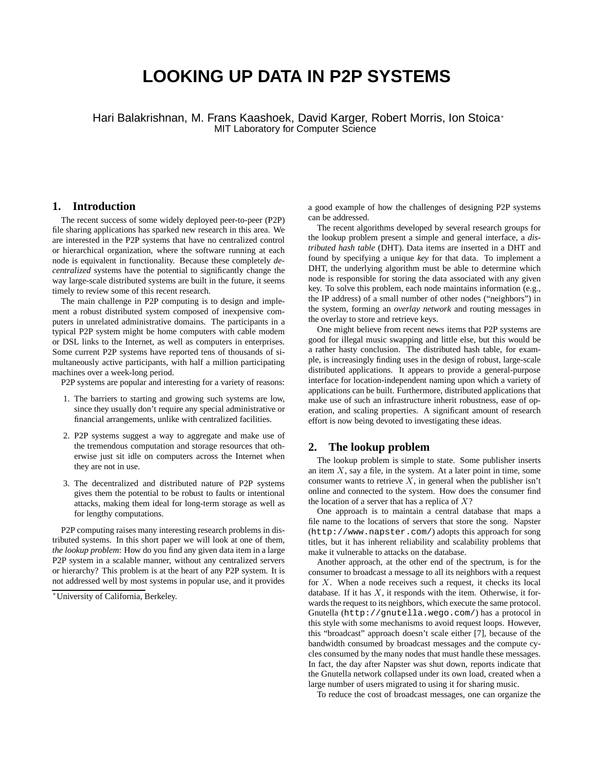# **LOOKING UP DATA IN P2P SYSTEMS**

Hari Balakrishnan, M. Frans Kaashoek, David Karger, Robert Morris, Ion Stoica<sup>∗</sup> MIT Laboratory for Computer Science

## **1. Introduction**

The recent success of some widely deployed peer-to-peer (P2P) file sharing applications has sparked new research in this area. We are interested in the P2P systems that have no centralized control or hierarchical organization, where the software running at each node is equivalent in functionality. Because these completely *decentralized* systems have the potential to significantly change the way large-scale distributed systems are built in the future, it seems timely to review some of this recent research.

The main challenge in P2P computing is to design and implement a robust distributed system composed of inexpensive computers in unrelated administrative domains. The participants in a typical P2P system might be home computers with cable modem or DSL links to the Internet, as well as computers in enterprises. Some current P2P systems have reported tens of thousands of simultaneously active participants, with half a million participating machines over a week-long period.

P2P systems are popular and interesting for a variety of reasons:

- 1. The barriers to starting and growing such systems are low, since they usually don't require any special administrative or financial arrangements, unlike with centralized facilities.
- 2. P2P systems suggest a way to aggregate and make use of the tremendous computation and storage resources that otherwise just sit idle on computers across the Internet when they are not in use.
- 3. The decentralized and distributed nature of P2P systems gives them the potential to be robust to faults or intentional attacks, making them ideal for long-term storage as well as for lengthy computations.

P2P computing raises many interesting research problems in distributed systems. In this short paper we will look at one of them, *the lookup problem*: How do you find any given data item in a large P2P system in a scalable manner, without any centralized servers or hierarchy? This problem is at the heart of any P2P system. It is not addressed well by most systems in popular use, and it provides

a good example of how the challenges of designing P2P systems can be addressed.

The recent algorithms developed by several research groups for the lookup problem present a simple and general interface, a *distributed hash table* (DHT). Data items are inserted in a DHT and found by specifying a unique *key* for that data. To implement a DHT, the underlying algorithm must be able to determine which node is responsible for storing the data associated with any given key. To solve this problem, each node maintains information (e.g., the IP address) of a small number of other nodes ("neighbors") in the system, forming an *overlay network* and routing messages in the overlay to store and retrieve keys.

One might believe from recent news items that P2P systems are good for illegal music swapping and little else, but this would be a rather hasty conclusion. The distributed hash table, for example, is increasingly finding uses in the design of robust, large-scale distributed applications. It appears to provide a general-purpose interface for location-independent naming upon which a variety of applications can be built. Furthermore, distributed applications that make use of such an infrastructure inherit robustness, ease of operation, and scaling properties. A significant amount of research effort is now being devoted to investigating these ideas.

#### **2. The lookup problem**

The lookup problem is simple to state. Some publisher inserts an item  $X$ , say a file, in the system. At a later point in time, some consumer wants to retrieve  $X$ , in general when the publisher isn't online and connected to the system. How does the consumer find the location of a server that has a replica of  $X$ ?

One approach is to maintain a central database that maps a file name to the locations of servers that store the song. Napster (http://www.napster.com/) adopts this approach for song titles, but it has inherent reliability and scalability problems that make it vulnerable to attacks on the database.

Another approach, at the other end of the spectrum, is for the consumer to broadcast a message to all its neighbors with a request for  $X$ . When a node receives such a request, it checks its local database. If it has  $X$ , it responds with the item. Otherwise, it forwards the request to its neighbors, which execute the same protocol. Gnutella (http://gnutella.wego.com/) has a protocol in this style with some mechanisms to avoid request loops. However, this "broadcast" approach doesn't scale either [7], because of the bandwidth consumed by broadcast messages and the compute cycles consumed by the many nodes that must handle these messages. In fact, the day after Napster was shut down, reports indicate that the Gnutella network collapsed under its own load, created when a large number of users migrated to using it for sharing music.

To reduce the cost of broadcast messages, one can organize the

<sup>∗</sup>University of California, Berkeley.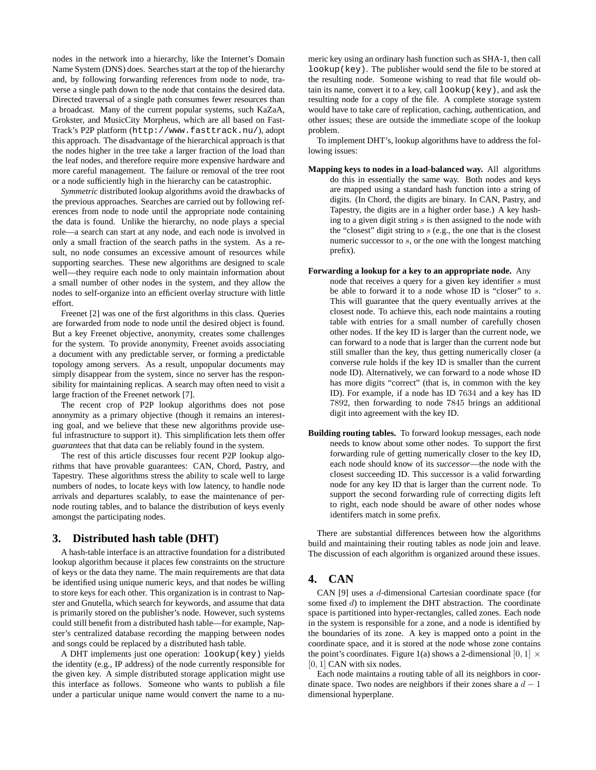nodes in the network into a hierarchy, like the Internet's Domain Name System (DNS) does. Searches start at the top of the hierarchy and, by following forwarding references from node to node, traverse a single path down to the node that contains the desired data. Directed traversal of a single path consumes fewer resources than a broadcast. Many of the current popular systems, such KaZaA, Grokster, and MusicCity Morpheus, which are all based on Fast-Track's P2P platform (http://www.fasttrack.nu/), adopt this approach. The disadvantage of the hierarchical approach is that the nodes higher in the tree take a larger fraction of the load than the leaf nodes, and therefore require more expensive hardware and more careful management. The failure or removal of the tree root or a node sufficiently high in the hierarchy can be catastrophic.

*Symmetric* distributed lookup algorithms avoid the drawbacks of the previous approaches. Searches are carried out by following references from node to node until the appropriate node containing the data is found. Unlike the hierarchy, no node plays a special role—a search can start at any node, and each node is involved in only a small fraction of the search paths in the system. As a result, no node consumes an excessive amount of resources while supporting searches. These new algorithms are designed to scale well—they require each node to only maintain information about a small number of other nodes in the system, and they allow the nodes to self-organize into an efficient overlay structure with little effort.

Freenet [2] was one of the first algorithms in this class. Queries are forwarded from node to node until the desired object is found. But a key Freenet objective, anonymity, creates some challenges for the system. To provide anonymity, Freenet avoids associating a document with any predictable server, or forming a predictable topology among servers. As a result, unpopular documents may simply disappear from the system, since no server has the responsibility for maintaining replicas. A search may often need to visit a large fraction of the Freenet network [7].

The recent crop of P2P lookup algorithms does not pose anonymity as a primary objective (though it remains an interesting goal, and we believe that these new algorithms provide useful infrastructure to support it). This simplification lets them offer *guarantees* that that data can be reliably found in the system.

The rest of this article discusses four recent P2P lookup algorithms that have provable guarantees: CAN, Chord, Pastry, and Tapestry. These algorithms stress the ability to scale well to large numbers of nodes, to locate keys with low latency, to handle node arrivals and departures scalably, to ease the maintenance of pernode routing tables, and to balance the distribution of keys evenly amongst the participating nodes.

#### **3. Distributed hash table (DHT)**

A hash-table interface is an attractive foundation for a distributed lookup algorithm because it places few constraints on the structure of keys or the data they name. The main requirements are that data be identified using unique numeric keys, and that nodes be willing to store keys for each other. This organization is in contrast to Napster and Gnutella, which search for keywords, and assume that data is primarily stored on the publisher's node. However, such systems could still benefit from a distributed hash table—for example, Napster's centralized database recording the mapping between nodes and songs could be replaced by a distributed hash table.

A DHT implements just one operation: lookup(key) yields the identity (e.g., IP address) of the node currently responsible for the given key. A simple distributed storage application might use this interface as follows. Someone who wants to publish a file under a particular unique name would convert the name to a numeric key using an ordinary hash function such as SHA-1, then call lookup(key). The publisher would send the file to be stored at the resulting node. Someone wishing to read that file would obtain its name, convert it to a key, call lookup(key), and ask the resulting node for a copy of the file. A complete storage system would have to take care of replication, caching, authentication, and other issues; these are outside the immediate scope of the lookup problem.

To implement DHT's, lookup algorithms have to address the following issues:

**Mapping keys to nodes in a load-balanced way.** All algorithms do this in essentially the same way. Both nodes and keys are mapped using a standard hash function into a string of digits. (In Chord, the digits are binary. In CAN, Pastry, and Tapestry, the digits are in a higher order base.) A key hashing to a given digit string  $s$  is then assigned to the node with the "closest" digit string to  $s$  (e.g., the one that is the closest numeric successor to s, or the one with the longest matching prefix).

#### **Forwarding a lookup for a key to an appropriate node.** Any

- node that receives a query for a given key identifier s must be able to forward it to a node whose ID is "closer" to s. This will guarantee that the query eventually arrives at the closest node. To achieve this, each node maintains a routing table with entries for a small number of carefully chosen other nodes. If the key ID is larger than the current node, we can forward to a node that is larger than the current node but still smaller than the key, thus getting numerically closer (a converse rule holds if the key ID is smaller than the current node ID). Alternatively, we can forward to a node whose ID has more digits "correct" (that is, in common with the key ID). For example, if a node has ID 7634 and a key has ID 7892, then forwarding to node 7845 brings an additional digit into agreement with the key ID.
- **Building routing tables.** To forward lookup messages, each node needs to know about some other nodes. To support the first forwarding rule of getting numerically closer to the key ID, each node should know of its *successor*—the node with the closest succeeding ID. This successor is a valid forwarding node for any key ID that is larger than the current node. To support the second forwarding rule of correcting digits left to right, each node should be aware of other nodes whose identifers match in some prefix.

There are substantial differences between how the algorithms build and maintaining their routing tables as node join and leave. The discussion of each algorithm is organized around these issues.

#### **4. CAN**

CAN [9] uses a d-dimensional Cartesian coordinate space (for some fixed d) to implement the DHT abstraction. The coordinate space is partitioned into hyper-rectangles, called zones. Each node in the system is responsible for a zone, and a node is identified by the boundaries of its zone. A key is mapped onto a point in the coordinate space, and it is stored at the node whose zone contains the point's coordinates. Figure 1(a) shows a 2-dimensional [0, 1]  $\times$ [0, 1] CAN with six nodes.

Each node maintains a routing table of all its neighbors in coordinate space. Two nodes are neighbors if their zones share a  $d - 1$ dimensional hyperplane.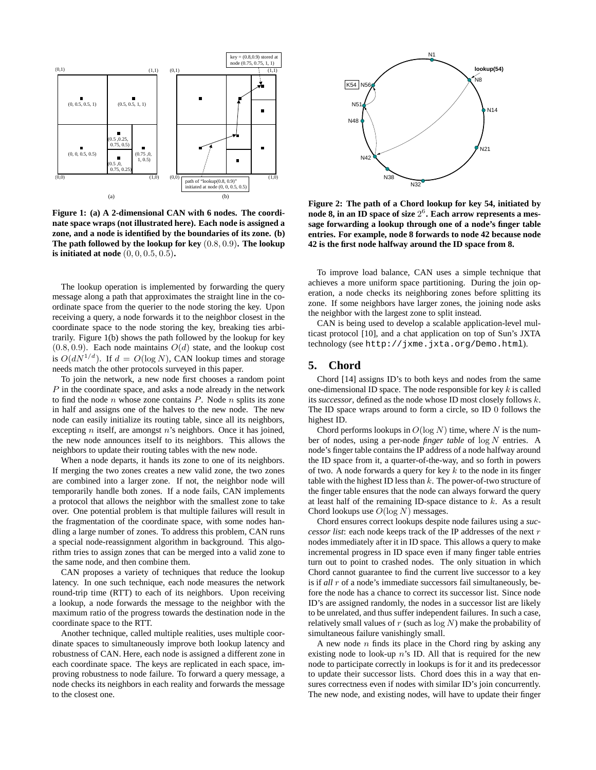

**Figure 1: (a) A 2-dimensional CAN with 6 nodes. The coordinate space wraps (not illustrated here). Each node is assigned a zone, and a node is identified by the boundaries of its zone. (b) The path followed by the lookup for key** (0.8, 0.9)**. The lookup is initiated at node** (0, 0, 0.5, 0.5)**.**

The lookup operation is implemented by forwarding the query message along a path that approximates the straight line in the coordinate space from the querier to the node storing the key. Upon receiving a query, a node forwards it to the neighbor closest in the coordinate space to the node storing the key, breaking ties arbitrarily. Figure 1(b) shows the path followed by the lookup for key  $(0.8, 0.9)$ . Each node maintains  $O(d)$  state, and the lookup cost is  $O(dN^{1/d})$ . If  $d = O(\log N)$ , CAN lookup times and storage needs match the other protocols surveyed in this paper.

To join the network, a new node first chooses a random point P in the coordinate space, and asks a node already in the network to find the node  $n$  whose zone contains  $P$ . Node  $n$  splits its zone in half and assigns one of the halves to the new node. The new node can easily initialize its routing table, since all its neighbors, excepting *n* itself, are amongst *n*'s neighbors. Once it has joined, the new node announces itself to its neighbors. This allows the neighbors to update their routing tables with the new node.

When a node departs, it hands its zone to one of its neighbors. If merging the two zones creates a new valid zone, the two zones are combined into a larger zone. If not, the neighbor node will temporarily handle both zones. If a node fails, CAN implements a protocol that allows the neighbor with the smallest zone to take over. One potential problem is that multiple failures will result in the fragmentation of the coordinate space, with some nodes handling a large number of zones. To address this problem, CAN runs a special node-reassignment algorithm in background. This algorithm tries to assign zones that can be merged into a valid zone to the same node, and then combine them.

CAN proposes a variety of techniques that reduce the lookup latency. In one such technique, each node measures the network round-trip time (RTT) to each of its neighbors. Upon receiving a lookup, a node forwards the message to the neighbor with the maximum ratio of the progress towards the destination node in the coordinate space to the RTT.

Another technique, called multiple realities, uses multiple coordinate spaces to simultaneously improve both lookup latency and robustness of CAN. Here, each node is assigned a different zone in each coordinate space. The keys are replicated in each space, improving robustness to node failure. To forward a query message, a node checks its neighbors in each reality and forwards the message to the closest one.



**Figure 2: The path of a Chord lookup for key 54, initiated by node 8, in an ID space of size** 2 6 **. Each arrow represents a message forwarding a lookup through one of a node's finger table entries. For example, node 8 forwards to node 42 because node 42 is the first node halfway around the ID space from 8.**

To improve load balance, CAN uses a simple technique that achieves a more uniform space partitioning. During the join operation, a node checks its neighboring zones before splitting its zone. If some neighbors have larger zones, the joining node asks the neighbor with the largest zone to split instead.

CAN is being used to develop a scalable application-level multicast protocol [10], and a chat application on top of Sun's JXTA technology (see http://jxme.jxta.org/Demo.html).

### **5. Chord**

Chord [14] assigns ID's to both keys and nodes from the same one-dimensional ID space. The node responsible for key  $k$  is called its *successor*, defined as the node whose ID most closely follows k. The ID space wraps around to form a circle, so ID 0 follows the highest ID.

Chord performs lookups in  $O(\log N)$  time, where N is the number of nodes, using a per-node *finger table* of log N entries. A node's finger table contains the IP address of a node halfway around the ID space from it, a quarter-of-the-way, and so forth in powers of two. A node forwards a query for key  $k$  to the node in its finger table with the highest ID less than  $k$ . The power-of-two structure of the finger table ensures that the node can always forward the query at least half of the remaining ID-space distance to k. As a result Chord lookups use  $O(\log N)$  messages.

Chord ensures correct lookups despite node failures using a *successor list*: each node keeps track of the IP addresses of the next r nodes immediately after it in ID space. This allows a query to make incremental progress in ID space even if many finger table entries turn out to point to crashed nodes. The only situation in which Chord cannot guarantee to find the current live successor to a key is if *all* r of a node's immediate successors fail simultaneously, before the node has a chance to correct its successor list. Since node ID's are assigned randomly, the nodes in a successor list are likely to be unrelated, and thus suffer independent failures. In such a case, relatively small values of  $r$  (such as  $log N$ ) make the probability of simultaneous failure vanishingly small.

A new node  $n$  finds its place in the Chord ring by asking any existing node to look-up  $n$ 's ID. All that is required for the new node to participate correctly in lookups is for it and its predecessor to update their successor lists. Chord does this in a way that ensures correctness even if nodes with similar ID's join concurrently. The new node, and existing nodes, will have to update their finger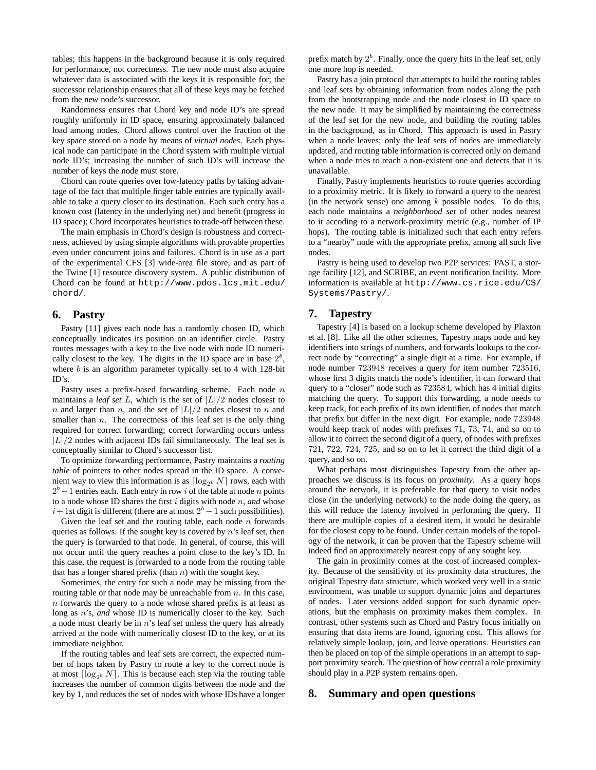tables; this happens in the background because it is only required for performance, not correctness. The new node must also acquire whatever data is associated with the keys it is responsible for; the successor relationship ensures that all of these keys may be fetched from the new node's successor.

Randomness ensures that Chord key and node ID's are spread roughly uniformly in ID space, ensuring approximately balanced load among nodes. Chord allows control over the fraction of the key space stored on a node by means of *virtual nodes*. Each physical node can participate in the Chord system with multiple virtual node ID's; increasing the number of such ID's will increase the number of keys the node must store.

Chord can route queries over low-latency paths by taking advantage of the fact that multiple finger table entries are typically available to take a query closer to its destination. Each such entry has a known cost (latency in the underlying net) and benefit (progress in ID space); Chord incorporates heuristics to trade-off between these.

The main emphasis in Chord's design is robustness and correctness, achieved by using simple algorithms with provable properties even under concurrent joins and failures. Chord is in use as a part of the experimental CFS [3] wide-area file store, and as part of the Twine [1] resource discovery system. A public distribution of Chord can be found at http://www.pdos.lcs.mit.edu/ chord/.

### **6. Pastry**

Pastry [11] gives each node has a randomly chosen ID, which conceptually indicates its position on an identifier circle. Pastry routes messages with a key to the live node with node ID numerically closest to the key. The digits in the ID space are in base  $2<sup>b</sup>$ , where  $b$  is an algorithm parameter typically set to 4 with 128-bit ID's.

Pastry uses a prefix-based forwarding scheme. Each node  $n$ maintains a *leaf set* L, which is the set of  $|L|/2$  nodes closest to n and larger than n, and the set of  $|L|/2$  nodes closest to n and smaller than  $n$ . The correctness of this leaf set is the only thing required for correct forwarding; correct forwarding occurs unless  $|L|/2$  nodes with adjacent IDs fail simultaneously. The leaf set is conceptually similar to Chord's successor list.

To optimize forwarding performance, Pastry maintains a *routing table* of pointers to other nodes spread in the ID space. A convenient way to view this information is as  $\lceil \log_{2b} N \rceil$  rows, each with  $2<sup>b</sup> - 1$  entries each. Each entry in row i of the table at node n points to a node whose ID shares the first i digits with node n, *and* whose  $i+1$ st digit is different (there are at most  $2<sup>b</sup> - 1$  such possibilities).

Given the leaf set and the routing table, each node  $n$  forwards queries as follows. If the sought key is covered by  $n$ 's leaf set, then the query is forwarded to that node. In general, of course, this will not occur until the query reaches a point close to the key's ID. In this case, the request is forwarded to a node from the routing table that has a longer shared prefix (than  $n$ ) with the sought key.

Sometimes, the entry for such a node may be missing from the routing table or that node may be unreachable from  $n$ . In this case,  $n$  forwards the query to a node whose shared prefix is at least as long as *n*'s, *and* whose ID is numerically closer to the key. Such a node must clearly be in  $n$ 's leaf set unless the query has already arrived at the node with numerically closest ID to the key, or at its immediate neighbor.

If the routing tables and leaf sets are correct, the expected number of hops taken by Pastry to route a key to the correct node is at most  $\lceil \log_{2b} N \rceil$ . This is because each step via the routing table increases the number of common digits between the node and the key by 1, and reduces the set of nodes with whose IDs have a longer

prefix match by  $2<sup>b</sup>$ . Finally, once the query hits in the leaf set, only one more hop is needed.

Pastry has a join protocol that attempts to build the routing tables and leaf sets by obtaining information from nodes along the path from the bootstrapping node and the node closest in ID space to the new node. It may be simplified by maintaining the correctness of the leaf set for the new node, and building the routing tables in the background, as in Chord. This approach is used in Pastry when a node leaves; only the leaf sets of nodes are immediately updated, and routing table information is corrected only on demand when a node tries to reach a non-existent one and detects that it is unavailable.

Finally, Pastry implements heuristics to route queries according to a proximity metric. It is likely to forward a query to the nearest (in the network sense) one among  $k$  possible nodes. To do this, each node maintains a *neighborhood set* of other nodes nearest to it accoding to a network-proximity metric (e.g., number of IP hops). The routing table is initialized such that each entry refers to a "nearby" node with the appropriate prefix, among all such live nodes.

Pastry is being used to develop two P2P services: PAST, a storage facility [12], and SCRIBE, an event notification facility. More information is available at http://www.cs.rice.edu/CS/ Systems/Pastry/.

## **7. Tapestry**

Tapestry [4] is based on a lookup scheme developed by Plaxton et al. [8]. Like all the other schemes, Tapestry maps node and key identifiers into strings of numbers, and forwards lookups to the correct node by "correcting" a single digit at a time. For example, if node number 723948 receives a query for item number 723516, whose first 3 digits match the node's identifier, it can forward that query to a "closer" node such as 723584, which has 4 initial digits matching the query. To support this forwarding, a node needs to keep track, for each prefix of its own identifier, of nodes that match that prefix but differ in the next digit. For example, node 723948 would keep track of nodes with prefixes 71, 73, 74, and so on to allow it to correct the second digit of a query, of nodes with prefixes 721, 722, 724, 725, and so on to let it correct the third digit of a query, and so on.

What perhaps most distinguishes Tapestry from the other approaches we discuss is its focus on *proximity*. As a query hops around the network, it is preferable for that query to visit nodes close (in the underlying network) to the node doing the query, as this will reduce the latency involved in performing the query. If there are multiple copies of a desired item, it would be desirable for the closest copy to be found. Under certain models of the topology of the network, it can be proven that the Tapestry scheme will indeed find an approximately nearest copy of any sought key.

The gain in proximity comes at the cost of increased complexity. Because of the sensitivity of its proximity data structures, the original Tapestry data structure, which worked very well in a static environment, was unable to support dynamic joins and departures of nodes. Later versions added support for such dynamic operations, but the emphasis on proximity makes them complex. In contrast, other systems such as Chord and Pastry focus initially on ensuring that data items are found, ignoring cost. This allows for relatively simple lookup, join, and leave operations. Heuristics can then be placed on top of the simple operations in an attempt to support proximity search. The question of how central a role proximity should play in a P2P system remains open.

#### **8. Summary and open questions**